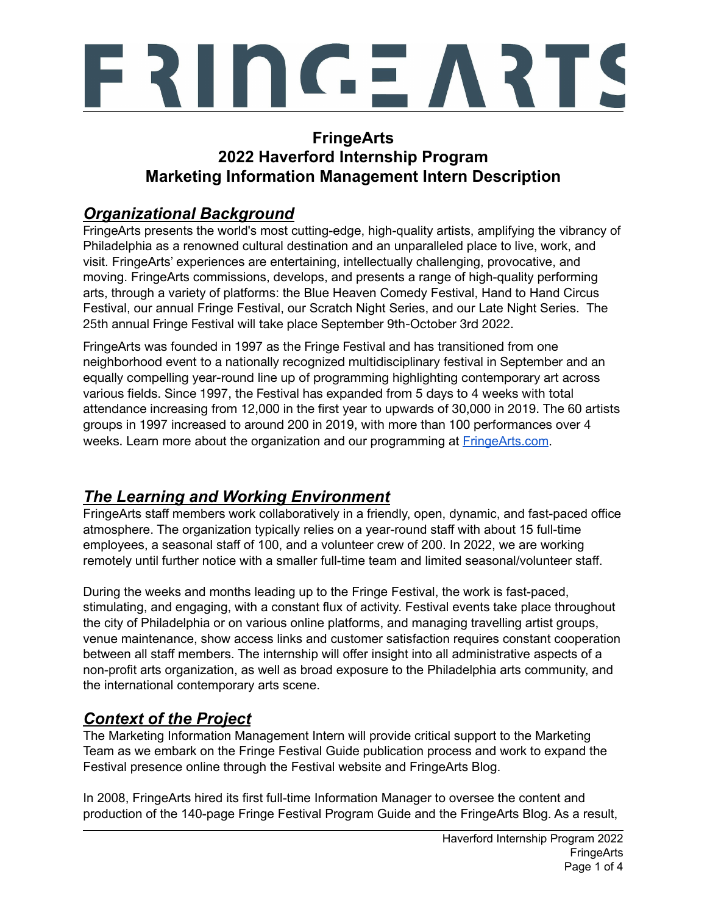

## **FringeArts 2022 Haverford Internship Program Marketing Information Management Intern Description**

## *Organizational Background*

FringeArts presents the world's most cutting-edge, high-quality artists, amplifying the vibrancy of Philadelphia as a renowned cultural destination and an unparalleled place to live, work, and visit. FringeArts' experiences are entertaining, intellectually challenging, provocative, and moving. FringeArts commissions, develops, and presents a range of high-quality performing arts, through a variety of platforms: the Blue Heaven Comedy Festival, Hand to Hand Circus Festival, our annual Fringe Festival, our Scratch Night Series, and our Late Night Series. The 25th annual Fringe Festival will take place September 9th-October 3rd 2022.

FringeArts was founded in 1997 as the Fringe Festival and has transitioned from one neighborhood event to a nationally recognized multidisciplinary festival in September and an equally compelling year-round line up of programming highlighting contemporary art across various fields. Since 1997, the Festival has expanded from 5 days to 4 weeks with total attendance increasing from 12,000 in the first year to upwards of 30,000 in 2019. The 60 artists groups in 1997 increased to around 200 in 2019, with more than 100 performances over 4 weeks. Learn more about the organization and our programming at [FringeArts.com](https://www.fringearts.com).

# *The Learning and Working Environment*

FringeArts staff members work collaboratively in a friendly, open, dynamic, and fast-paced office atmosphere. The organization typically relies on a year-round staff with about 15 full-time employees, a seasonal staff of 100, and a volunteer crew of 200. In 2022, we are working remotely until further notice with a smaller full-time team and limited seasonal/volunteer staff.

During the weeks and months leading up to the Fringe Festival, the work is fast-paced, stimulating, and engaging, with a constant flux of activity. Festival events take place throughout the city of Philadelphia or on various online platforms, and managing travelling artist groups, venue maintenance, show access links and customer satisfaction requires constant cooperation between all staff members. The internship will offer insight into all administrative aspects of a non-profit arts organization, as well as broad exposure to the Philadelphia arts community, and the international contemporary arts scene.

# *Context of the Project*

The Marketing Information Management Intern will provide critical support to the Marketing Team as we embark on the Fringe Festival Guide publication process and work to expand the Festival presence online through the Festival website and FringeArts Blog.

In 2008, FringeArts hired its first full-time Information Manager to oversee the content and production of the 140-page Fringe Festival Program Guide and the FringeArts Blog. As a result,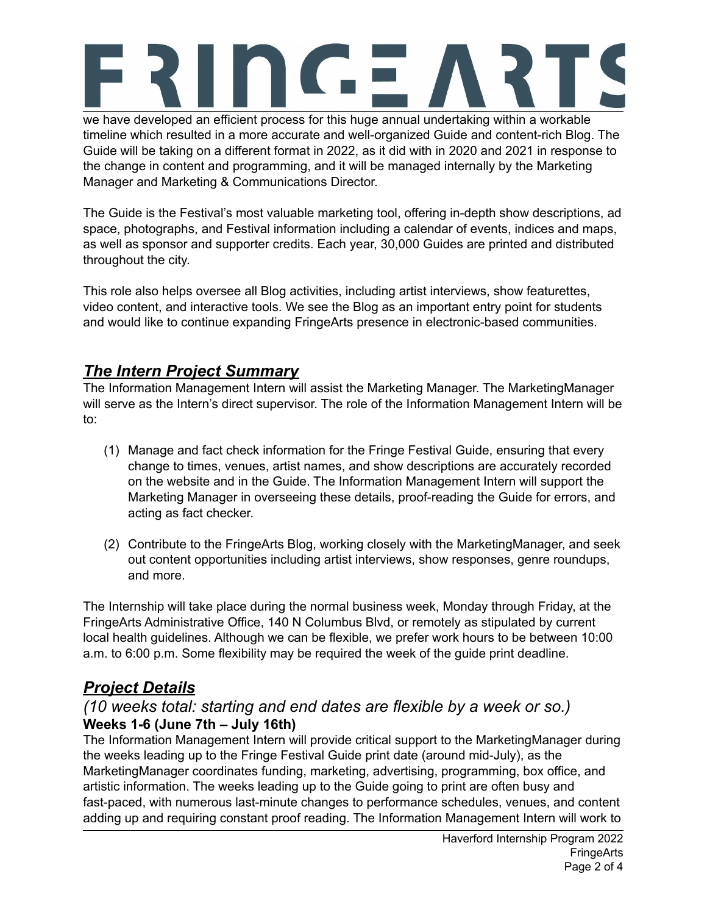

we have developed an efficient process for this huge annual undertaking within a workable timeline which resulted in a more accurate and well-organized Guide and content-rich Blog. The Guide will be taking on a different format in 2022, as it did with in 2020 and 2021 in response to the change in content and programming, and it will be managed internally by the Marketing Manager and Marketing & Communications Director.

The Guide is the Festival's most valuable marketing tool, offering in-depth show descriptions, ad space, photographs, and Festival information including a calendar of events, indices and maps, as well as sponsor and supporter credits. Each year, 30,000 Guides are printed and distributed throughout the city.

This role also helps oversee all Blog activities, including artist interviews, show featurettes, video content, and interactive tools. We see the Blog as an important entry point for students and would like to continue expanding FringeArts presence in electronic-based communities.

## *The Intern Project Summary*

The Information Management Intern will assist the Marketing Manager. The MarketingManager will serve as the Intern's direct supervisor. The role of the Information Management Intern will be to:

- (1) Manage and fact check information for the Fringe Festival Guide, ensuring that every change to times, venues, artist names, and show descriptions are accurately recorded on the website and in the Guide. The Information Management Intern will support the Marketing Manager in overseeing these details, proof-reading the Guide for errors, and acting as fact checker.
- (2) Contribute to the FringeArts Blog, working closely with the MarketingManager, and seek out content opportunities including artist interviews, show responses, genre roundups, and more.

The Internship will take place during the normal business week, Monday through Friday, at the FringeArts Administrative Office, 140 N Columbus Blvd, or remotely as stipulated by current local health guidelines. Although we can be flexible, we prefer work hours to be between 10:00 a.m. to 6:00 p.m. Some flexibility may be required the week of the guide print deadline.

# *Project Details*

### *(10 weeks total: starting and end dates are flexible by a week or so.)* **Weeks 1-6 (June 7th – July 16th)**

The Information Management Intern will provide critical support to the MarketingManager during the weeks leading up to the Fringe Festival Guide print date (around mid-July), as the MarketingManager coordinates funding, marketing, advertising, programming, box office, and artistic information. The weeks leading up to the Guide going to print are often busy and fast-paced, with numerous last-minute changes to performance schedules, venues, and content adding up and requiring constant proof reading. The Information Management Intern will work to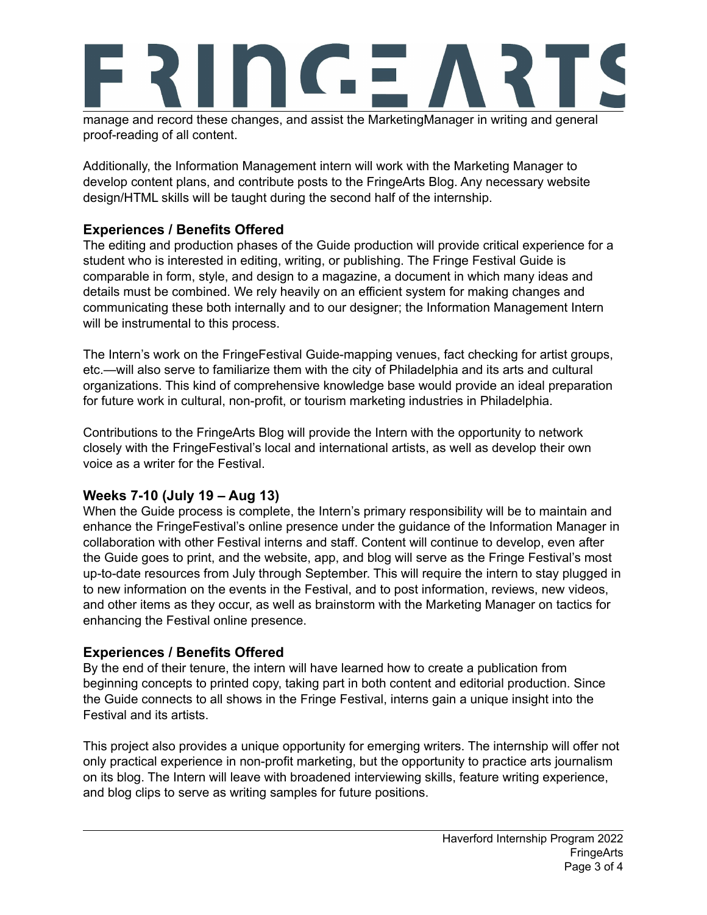

manage and record these changes, and assist the MarketingManager in writing and general proof-reading of all content.

Additionally, the Information Management intern will work with the Marketing Manager to develop content plans, and contribute posts to the FringeArts Blog. Any necessary website design/HTML skills will be taught during the second half of the internship.

### **Experiences / Benefits Offered**

The editing and production phases of the Guide production will provide critical experience for a student who is interested in editing, writing, or publishing. The Fringe Festival Guide is comparable in form, style, and design to a magazine, a document in which many ideas and details must be combined. We rely heavily on an efficient system for making changes and communicating these both internally and to our designer; the Information Management Intern will be instrumental to this process.

The Intern's work on the FringeFestival Guide-mapping venues, fact checking for artist groups, etc.—will also serve to familiarize them with the city of Philadelphia and its arts and cultural organizations. This kind of comprehensive knowledge base would provide an ideal preparation for future work in cultural, non-profit, or tourism marketing industries in Philadelphia.

Contributions to the FringeArts Blog will provide the Intern with the opportunity to network closely with the FringeFestival's local and international artists, as well as develop their own voice as a writer for the Festival.

### **Weeks 7-10 (July 19 – Aug 13)**

When the Guide process is complete, the Intern's primary responsibility will be to maintain and enhance the FringeFestival's online presence under the guidance of the Information Manager in collaboration with other Festival interns and staff. Content will continue to develop, even after the Guide goes to print, and the website, app, and blog will serve as the Fringe Festival's most up-to-date resources from July through September. This will require the intern to stay plugged in to new information on the events in the Festival, and to post information, reviews, new videos, and other items as they occur, as well as brainstorm with the Marketing Manager on tactics for enhancing the Festival online presence.

#### **Experiences / Benefits Offered**

By the end of their tenure, the intern will have learned how to create a publication from beginning concepts to printed copy, taking part in both content and editorial production. Since the Guide connects to all shows in the Fringe Festival, interns gain a unique insight into the Festival and its artists.

This project also provides a unique opportunity for emerging writers. The internship will offer not only practical experience in non-profit marketing, but the opportunity to practice arts journalism on its blog. The Intern will leave with broadened interviewing skills, feature writing experience, and blog clips to serve as writing samples for future positions.